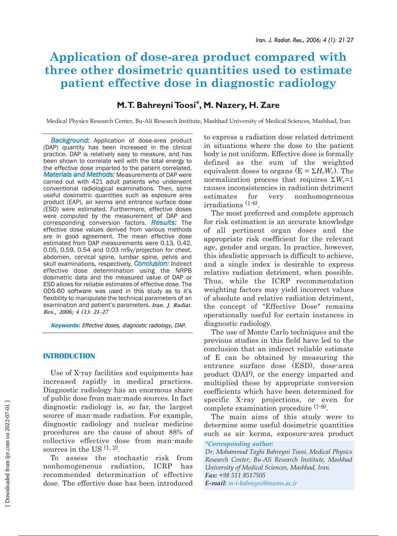# **Application of dose-area product compared with three other dosimetric quantities used to estimate patient effective dose in diagnostic radiology**

# **M.T. Bahreyni Toosi\*, M. Nazery, H. Zare**

Medical Physics Research Center, Bu-Ali Research Institute, Mashhad University of Medical Sciences, Mashhad, Iran

*Background:* Application of dose-area product (DAP) quantity has been increased in the clinical practice. DAP is relatively easy to measure, and has been shown to correlate well with the total energy to the effective dose imparted to the patient correlated. *Materials and Methods:* Measurements of DAP were carried out with 421 adult patients who underwent conventional radiological examinations. Then, some useful dosimetric quantities such as exposure area product (EAP), air kerma and entrance surface dose (ESD) were estimated. Furthermore, effective doses were computed by the measurement of DAP and corresponding conversion factors. *Results:* The effective dose values derived from various methods are in good agreement. The mean effective dose estimated from DAP measurements were 0.13, 0.42, 0.05, 0.59, 0.54 and 0.03 mSv/projection for chest, abdomen, cervical spine, lumbar spine, pelvis and skull examinations, respectively. *Conclusion:* Indirect effective dose determination using the NRPB dosimetric data and the measured value of DAP or ESD allows for reliable estimates of effective dose. The ODS-60 software was used in this study as to it's flexibility to manipulate the technical parameters of an examination and patient's parameters. *Iran. J. Radiat. Res., 2006; 4 (1): 21-27*

**Keywords:** Effective doses, diagnostic radiology, DAP.

## **INTRODUCTION**

Use of X-ray facilities and equipments has increased rapidly in medical practices. Diagnostic radiology has an enormous share of public dose from man-made sources. In fact diagnostic radiology is, so far, the largest source of man-made radiation. For example, diagnostic radiology and nuclear medicine procedures are the cause of about 88% of collective effective dose from man-made sources in the US  $(1, 2)$ .

To assess the stochastic risk from nonhomogeneous radiation, ICRP has recommended determination of effective dose. The effective dose has been introduced

to express a radiation dose related detriment in situations where the dose to the patient body is not uniform. Effective dose is formally defined as the sum of the weighted equivalent doses to organs ( $E = \Sigma H_r W_r$ ). The normalization process that requires  $\Sigma W_r=1$ causes inconsistencies in radiation detriment estimates for very nonhomogeneous irradiations (1-6).

The most preferred and complete approach for risk estimation is an accurate knowledge of all pertinent organ doses and the appropriate risk coefficient for the relevant age, gender and organ. In practice, however, this idealistic approach is difficult to achieve, and a single index is desirable to express relative radiation detriment, when possible. Thus, while the ICRP recommendation weighting factors may yield incorrect values of absolute and relative radiation detriment, the concept of "Effective Dose" remains operationally useful for certain instances in diagnostic radiology.

The use of Monte Carlo techniques and the previous studies in this field have led to the conclusion that an indirect reliable estimate of E can be obtained by measuring the entrance surface dose (ESD), dose-area product (DAP), or the energy imparted and multiplied these by appropriate conversion coefficients which have been determined for specific X-ray projections, or even for complete examination procedure (7-9).

The main aims of this study were to determine some useful dosimetric quantities such as air kerma, exposure-area product

*\*Corresponding author:*

*Dr. Mohammad Taghi Bahreyni Toosi, Medical Physics Research Center, Bu-Ali Research Institute, Mashhad University of Medical Sciences, Mashhad, Iran. Fax: +98 511 8517505*

*E-mail: m-t-bahreyni@mums.ac.ir*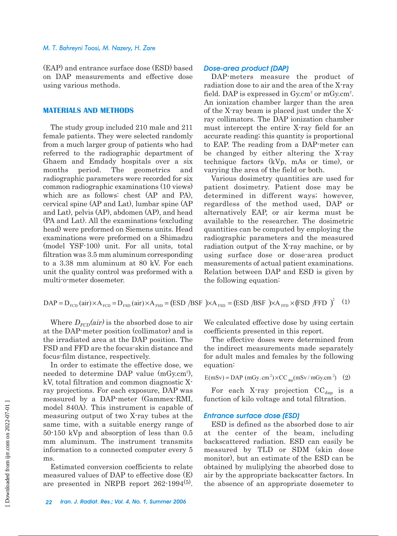#### *M. T. Bahreyni Toosi, M. Nazery, H. Zare*

(EAP) and entrance surface dose (ESD) based on DAP measurements and effective dose using various methods.

#### **MATERIALS AND METHODS**

The study group included 210 male and 211 female patients. They were selected randomly from a much larger group of patients who had referred to the radiographic department of Ghaem and Emdady hospitals over a six months period. The geometrics and radiographic parameters were recorded for six common radiographic examinations (10 views) which are as follows: chest (AP and PA), cervical spine (AP and Lat), lumbar spine (AP and Lat), pelvis (AP), abdomen (AP), and head (PA and Lat). All the examinations (excluding head) were preformed on Siemens units. Head examinations were preformed on a Shimadzu (model YSF-100) unit. For all units, total filtration was 3.5 mm aluminum corresponding to a 3.38 mm aluminum at 80 kV. For each unit the quality control was preformed with a multi-o-meter dosemeter.

#### *Dose-area product (DAP)*

DAP-meters measure the product of radiation dose to air and the area of the X-ray field. DAP is expressed in  $Gy.cm^2$  or m $Gy.cm^2$ . An ionization chamber larger than the area of the X-ray beam is placed just under the Xray collimators. The DAP ionization chamber must intercept the entire X-ray field for an accurate reading; this quantity is proportional to EAP. The reading from a DAP-meter can be changed by either altering the X-ray technique factors (kVp, mAs or time), or varying the area of the field or both.

Various dosimetry quantities are used for patient dosimetry. Patient dose may be determined in different ways; however, regardless of the method used, DAP or alternatively EAP, or air kerma must be available to the researcher. The dosimetric quantities can be computed by employing the radiographic parameters and the measured radiation output of the X-ray machine, or by using surface dose or dose-area product measurements of actual patient examinations. Relation between DAP and ESD is given by the following equation:

$$
DAP = D_{FCD} (air) \times A_{FCD} = D_{FSD} (air) \times A_{FSD} = (ESD / BSF) \times A_{FSD} = (ESD / BSF) \times A_{FFD} \times (FSD / FFD)^{2} \quad (1)
$$

Where  $D_{FCD}(air)$  is the absorbed dose to air at the DAP-meter position (collimator) and is the irradiated area at the DAP position. The FSD and FFD are the focus-skin distance and focus-film distance, respectively.

In order to estimate the effective dose, we needed to determine DAP value (mGy.cm<sup>2</sup>), kV, total filtration and common diagnostic Xray projections. For each exposure, DAP was measured by a DAP-meter (Gammex-RMI, model 840A). This instrument is capable of measuring output of two X-ray tubes at the same time, with a suitable energy range of 50-150 kVp and absorption of less than 0.5 mm aluminum. The instrument transmits information to a connected computer every 5 ms.

Estimated conversion coefficients to relate measured values of DAP to effective dose (E) are presented in NRPB report 262-1994(5).

We calculated effective dose by using certain coefficients presented in this report.

The effective doses were determined from the indirect measurements made separately for adult males and females by the following equation:

 $E(mSv) = DAP$  (mGy.cm<sup>2</sup>)×CC <sub>dap</sub> (mSv/mGy.cm<sup>2</sup>) (2)

For each X-ray projection  $\mathrm{CC}_{\mathrm{dap}}$  is a function of kilo voltage and total filtration.

#### *Entrance surface dose (ESD)*

ESD is defined as the absorbed dose to air at the center of the beam, including backscattered radiation. ESD can easily be measured by TLD or SDM (skin dose monitor), but an estimate of the ESD can be obtained by muliplying the absorbed dose to air by the appropriate backscatter factors. In the absence of an appropriate dosemeter to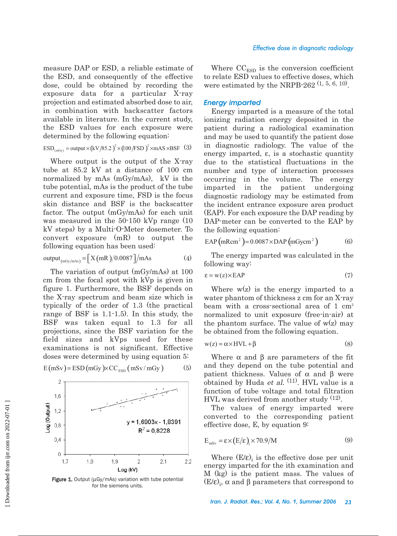measure DAP or ESD, a reliable estimate of the ESD, and consequently of the effective dose, could be obtained by recording the exposure data for a particular X-ray projection and estimated absorbed dose to air, in combination with backscatter factors available in literature. In the current study, the ESD values for each exposure were determined by the following equation:

$$
ESD_{(mGy)} = output \times (kV/85.2)^{2} \times (100/FSD)^{2} \times mAS \times BSF
$$
 (3)

Where output is the output of the X-ray tube at 85.2 kV at a distance of 100 cm normalized by mAs (mGy/mAs), kV is the tube potential, mAs is the product of the tube current and exposure time, FSD is the focus skin distance and BSF is the backscatter factor. The output (mGy/mAs) for each unit was measured in the 50-150 kVp range (10 kV steps) by a Multi-O-Meter dosemeter. To convert exposure (mR) to output the following equation has been used:

$$
output_{(mGy/mAs)} = [X(mR)/0.0087]/mAs
$$
 (4)

The variation of output (mGy/mAs) at 100 cm from the focal spot with kVp is given in figure 1. Furthermore, the BSF depends on the X-ray spectrum and beam size which is typically of the order of 1.3 (the practical range of BSF is 1.1-1.5). In this study, the BSF was taken equal to 1.3 for all projections, since the BSF variation for the field sizes and kVps used for these examinations is not significant. Effective doses were determined by using equation 5:



 $E(mSv) = ESD(mGy) \times CC_{ESD} (mSv/mGy)$  (5)

Where  $\mathrm{CC}_{\mathrm{ESD}}$  is the conversion coefficient to relate ESD values to effective doses, which

were estimated by the NRPB-262  $(1, 5, 6, 10)$ .

# *Energy imparted*

Energy imparted is a measure of the total ionizing radiation energy deposited in the patient during a radiological examination and may be used to quantify the patient dose in diagnostic radiology. The value of the energy imparted, ε, is a stochastic quantity due to the statistical fluctuations in the number and type of interaction processes occurring in the volume. The energy imparted in the patient undergoing diagnostic radiology may be estimated from the incident entrance exposure area product (EAP). For each exposure the DAP reading by DAP-meter can be converted to the EAP by the following equation:

$$
EAP (mRem2) = 0.0087 \times DAP (mGycm2)
$$
 (6)

The energy imparted was calculated in the following way:

$$
\varepsilon = w(z) \times EAP \tag{7}
$$

Where  $w(z)$  is the energy imparted to a water phantom of thickness z cm for an X-ray beam with a cross-sectional area of 1 cm<sup>2</sup> normalized to unit exposure (free-in-air) at the phantom surface. The value of  $w(z)$  may be obtained from the following equation.

$$
w(z) = \alpha \times HVL + \beta \tag{8}
$$

Where  $\alpha$  and  $\beta$  are parameters of the fit and they depend on the tube potential and patient thickness. Values of  $\alpha$  and  $\beta$  were obtained by Huda *et al.*  $(11)$ . HVL value is a function of tube voltage and total filtration HVL was derived from another study (12).

The values of energy imparted were converted to the corresponding patient effective dose, E, by equation 9:

$$
E_{msv} = \varepsilon \times (E/\varepsilon) \times 70.9/M
$$
 (9)

Where  $(E/\varepsilon)$  is the effective dose per unit energy imparted for the ith examination and M (kg) is the patient mass. The values of  $(E/\varepsilon)$ <sub>i</sub>,  $\alpha$  and  $\beta$  parameters that correspond to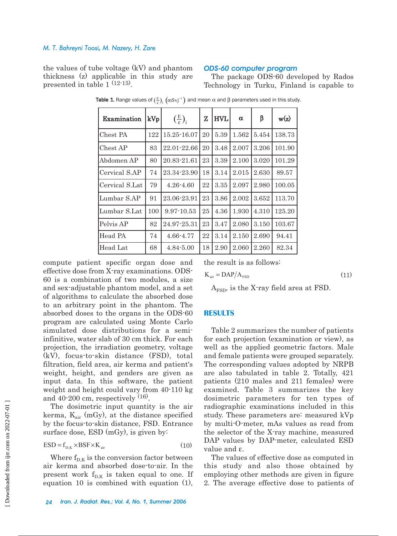#### *M. T. Bahreyni Toosi, M. Nazery, H. Zare*

the values of tube voltage (kV) and phantom thickness (z) applicable in this study are presented in table 1 (12-15).

#### *ODS-60 computer program*

The package ODS-60 developed by Rados Technology in Turku, Finland is capable to

| Examination    | kVp | $\left(\frac{E}{\epsilon}\right)_i$ | Z  | <b>HVL</b> | α     | β     | w(z)   |
|----------------|-----|-------------------------------------|----|------------|-------|-------|--------|
| Chest PA       | 122 | $15.25 - 16.07$                     | 20 | 5.39       | 1.562 | 5.454 | 138.73 |
| Chest AP       | 83  | 22.01-22.66                         | 20 | 3.48       | 2.007 | 3.206 | 101.90 |
| Abdomen AP     | 80  | 20.83-21.61                         | 23 | 3.39       | 2.100 | 3.020 | 101.29 |
| Cervical S.AP  | 74  | 23.34-23.90                         | 18 | 3.14       | 2.015 | 2.630 | 89.57  |
| Cervical S.Lat | 79  | $4.26 - 4.60$                       | 22 | 3.35       | 2.097 | 2.980 | 100.05 |
| Lumbar S.AP    | 91  | 23.06-23.91                         | 23 | 3.86       | 2.002 | 3.652 | 113.70 |
| Lumbar S.Lat   | 100 | $9.97 - 10.53$                      | 25 | 4.36       | 1.930 | 4.310 | 125.20 |
| Pelvis AP      | 82  | 24.97-25.31                         | 23 | 3.47       | 2.080 | 3.150 | 103.67 |
| Head PA        | 74  | 4.66-4.77                           | 22 | 3.14       | 2.150 | 2.690 | 94.41  |
| Head Lat       | 68  | $4.84 - 5.00$                       | 18 | 2.90       | 2.060 | 2.260 | 82.34  |

**Table 1.** Range values of  $(\frac{E}{\varepsilon})_i$   $\left(\text{mSvj}^{-1}\right)$  and mean α and β parameters used in this study.

compute patient specific organ dose and effective dose from X-ray examinations. ODS-60 is a combination of two modules, a size and sex-adjustable phantom model, and a set of algorithms to calculate the absorbed dose to an arbitrary point in the phantom. The absorbed doses to the organs in the ODS-60 program are calculated using Monte Carlo simulated dose distributions for a semiinfinitive, water slab of 30 cm thick. For each projection, the irradiation geometry, voltage (kV), focus-to-skin distance (FSD), total filtration, field area, air kerma and patient's weight, height, and genders are given as input data. In this software, the patient weight and height could vary from 40-110 kg and  $40-200$  cm, respectively  $(16)$ .

The dosimetric input quantity is the air kerma,  $K_{air}$  (mGy), at the distance specified by the focus-to-skin distance, FSD. Entrance surface dose, ESD (mGy), is given by:

$$
ESD = f_{D,K} \times BSF \times K_{air}
$$
 (10)

Where  $f_{D,K}$  is the conversion factor between air kerma and absorbed dose-to-air. In the present work  $f_{D,K}$  is taken equal to one. If equation 10 is combined with equation (1),

the result is as follows:

$$
K_{air} = DAP/A_{FSD}
$$
 (11)

 $A<sub>FSD</sub>$ , is the X-ray field area at FSD.

#### **RESULTS**

Table 2 summarizes the number of patients for each projection (examination or view), as well as the applied geometric factors. Male and female patients were grouped separately. The corresponding values adopted by NRPB are also tabulated in table 2. Totally, 421 patients (210 males and 211 females) were examined. Table 3 summarizes the key dosimetric parameters for ten types of radiographic examinations included in this study. These parameters are: measured kVp by multi-O-meter, mAs values as read from the selector of the X-ray machine, measured DAP values by DAP-meter, calculated ESD value and ε.

The values of effective dose as computed in this study and also those obtained by employing other methods are given in figure 2. The average effective dose to patients of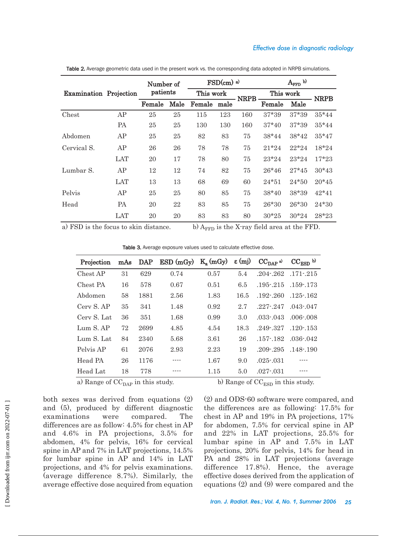#### *Effective dose in diagnostic radiology*

|                               |            | Number of<br>patients |      | $FSD(cm)$ a) |      |             | $A_{\text{FFD}}$ b) |         |             |
|-------------------------------|------------|-----------------------|------|--------------|------|-------------|---------------------|---------|-------------|
| <b>Examination Projection</b> |            |                       |      | This work    |      | <b>NRPB</b> | This work           |         | <b>NRPB</b> |
|                               |            | Female                | Male | Female       | male |             | Female              | Male    |             |
| Chest                         | AP         | 25                    | 25   | 115          | 123  | 160         | 37*39               | 37*39   | $35*44$     |
|                               | PA         | 25                    | 25   | 130          | 130  | 160         | $37*40$             | $37*39$ | $35*44$     |
| Abdomen                       | AP         | 25                    | 25   | 82           | 83   | 75          | $38*44$             | $38*42$ | $35*47$     |
| Cervical S.                   | AP         | 26                    | 26   | 78           | 78   | 75          | $21*24$             | $22*24$ | $18*24$     |
|                               | <b>LAT</b> | 20                    | 17   | 78           | 80   | 75          | $23*24$             | $23*24$ | $17*23$     |
| Lumbar S.                     | AP         | 12                    | 12   | 74           | 82   | 75          | $26*46$             | $27*45$ | $30*43$     |
|                               | <b>LAT</b> | 13                    | 13   | 68           | 69   | 60          | $24*51$             | $24*50$ | $20*45$     |
| Pelvis                        | AP         | 25                    | 25   | 80           | 85   | 75          | $38*40$             | 38*39   | $42*41$     |
| Head                          | PA         | 20                    | 22   | 83           | 85   | 75          | $26*30$             | 26*30   | $24*30$     |
|                               | LAT        | 20                    | 20   | 83           | 83   | 80          | $30*25$             | $30*24$ | 28*23       |

Table 2. Average geometric data used in the present work vs. the corresponding data adopted in NRPB simulations.

a) FSD is the focus to skin distance. b)  $A_{\text{FFD}}$  is the X-ray field area at the FFD.

Table 3. Average exposure values used to calculate effective dose.

| Projection  |    | mAs DAP | ESD(mGy) | $K_a$ (mGy) | $\varepsilon$ (mj) | $CCDAP$ a)    | $CC_{ESD}$ b) |
|-------------|----|---------|----------|-------------|--------------------|---------------|---------------|
| Chest AP    | 31 | 629     | 0.74     | 0.57        | 5.4                | $.204 - .262$ | $.171 - .215$ |
| Chest PA    | 16 | 578     | 0.67     | 0.51        | 6.5                | $.195 - .215$ | $.159 - 173$  |
| Abdomen     | 58 | 1881    | 2.56     | 1.83        | 16.5               | $.192 - .260$ | $.125 - .162$ |
| Cerv S. AP  | 35 | 341     | 1.48     | 0.92        | 2.7                | $.227 - .247$ | $.043 - .047$ |
| Cerv S. Lat | 36 | 351     | 1.68     | 0.99        | 3.0                | $.033 - .043$ | $.006 - 008$  |
| Lum S. AP   | 72 | 2699    | 4.85     | 4.54        | 18.3               | $.249 - .327$ | $.120 - 153$  |
| Lum S. Lat. | 84 | 2340    | 5.68     | 3.61        | 26                 | $.157 - .182$ | $.036 - .042$ |
| Pelvis AP   | 61 | 2076    | 2.93     | 2.23        | 19                 | $.209 - .295$ | $.148 - 190$  |
| Head PA     | 26 | 1176    |          | 1.67        | 9.0                | $.025 - .031$ | ----          |
| Head Lat    | 18 | 778     |          | 1.15        | 5.0                | $.027 - .031$ |               |

a) Range of  $CC_{\text{DAP}}$  in this study. b) Range of  $CC_{\text{ESD}}$  in this study.

both sexes was derived from equations (2) and (5), produced by different diagnostic examinations were compared. The differences are as follow: 4.5% for chest in AP and 4.6% in PA projections, 3.5% for abdomen, 4% for pelvis, 16% for cervical spine in AP and 7% in LAT projections, 14.5% for lumbar spine in AP and 14% in LAT projections, and 4% for pelvis examinations. (average difference 8.7%). Similarly, the average effective dose acquired from equation

(2) and ODS-60 software were compared, and the differences are as following: 17.5% for chest in AP and 19% in PA projections, 17% for abdomen, 7.5% for cervical spine in AP and 22% in LAT projections, 25.5% for lumbar spine in AP and 7.5% in LAT projections, 20% for pelvis, 14% for head in PA and 28% in LAT projections (average difference 17.8%). Hence, the average effective doses derived from the application of equations (2) and (9) were compared and the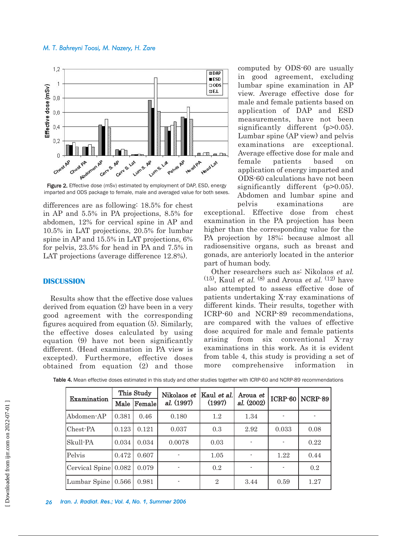#### *M. T. Bahreyni Toosi, M. Nazery, H. Zare*



Figure 2. Effective dose (mSv) estimated by employment of DAP, ESD, energy imparted and ODS package to female, male and averaged value for both sexes.

differences are as following: 18.5% for chest in AP and 5.5% in PA projections, 8.5% for abdomen, 12% for cervical spine in AP and 10.5% in LAT projections, 20.5% for lumbar spine in AP and 15.5% in LAT projections, 6% for pelvis, 23.5% for head in PA and 7.5% in LAT projections (average difference 12.8%).

### **DISCUSSION**

Results show that the effective dose values derived from equation (2) have been in a very good agreement with the corresponding figures acquired from equation (5). Similarly, the effective doses calculated by using equation (9) have not been significantly different. (Head examination in PA view is excepted). Furthermore, effective doses obtained from equation (2) and those

computed by ODS-60 are usually in good agreement, excluding lumbar spine examination in AP view. Average effective dose for male and female patients based on application of DAP and ESD measurements, have not been significantly different (p>0.05). Lumbar spine (AP view) and pelvis examinations are exceptional. Average effective dose for male and female patients based on application of energy imparted and ODS-60 calculations have not been significantly different (p>0.05). Abdomen and lumbar spine and

pelvis examinations are exceptional. Effective dose from chest examination in the PA projection has been higher than the corresponding value for the PA projection by 18%; because almost all radiosensitive organs, such as breast and gonads, are anteriorly located in the anterior part of human body.

Other researchers such as: Nikolaos et al.  $(15)$ , Kaul et al.  $(8)$  and Aroua et al.  $(12)$  have also attempted to assess effective dose of patients undertaking X-ray examinations of different kinds. Their results, together with ICRP-60 and NCRP-89 recommendations, are compared with the values of effective dose acquired for male and female patients arising from six conventional X-ray examinations in this work. As it is evident from table 4, this study is providing a set of more comprehensive information in

| Examination          | This Study |             | Nikolaos et | Kaul et al.    | Aroua et   | ICRP-60 | $NCRP-89$ |
|----------------------|------------|-------------|-------------|----------------|------------|---------|-----------|
|                      |            | Male Female | al. (1997)  | (1997)         | al. (2002) |         |           |
| Abdomen-AP           | 0.381      | 0.46        | 0.180       | 1.2            | 1.34       |         |           |
| Chest-PA             | 0.123      | 0.121       | 0.037       | 0.3            | 2.92       | 0.033   | 0.08      |
| Skull-PA             | 0.034      | 0.034       | 0.0078      | 0.03           |            |         | 0.22      |
| Pelvis               | 0.472      | 0.607       |             | 1.05           |            | 1.22    | 0.44      |
| Cervical Spine 0.082 |            | 0.079       |             | 0.2            |            |         | 0.2       |
| Lumbar Spine         | 0.566      | 0.981       |             | $\overline{2}$ | 3.44       | 0.59    | 1.27      |

Table 4. Mean effective doses estimated in this study and other studies together with ICRP-60 and NCRP-89 recommendations